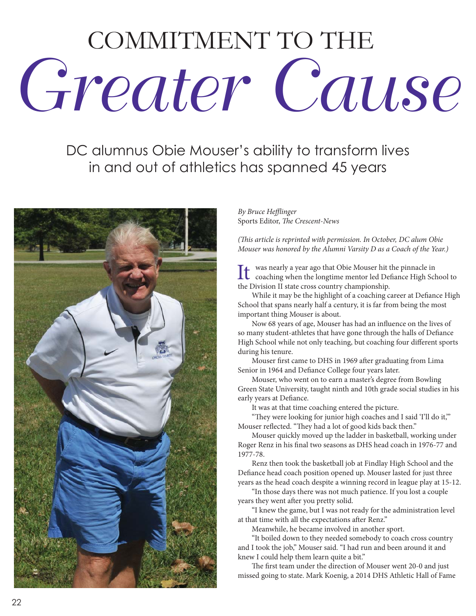## COMMITMENT TO THE Greater Cause

DC alumnus Obie Mouser's ability to transform lives in and out of athletics has spanned 45 years



By Bruce Hefflinger Sports Editor, The Crescent-News

(This article is reprinted with permission. In October, DC alum Obie Mouser was honored by the Alumni Varsity D as a Coach of the Year.)

It was nearly a year ago that Obie Mouser hit the pinnacle in<br>coaching when the longtime mentor led Defiance High School to the Division II state cross country championship.

While it may be the highlight of a coaching career at Defiance High School that spans nearly half a century, it is far from being the most important thing Mouser is about.

Now 68 years of age, Mouser has had an influence on the lives of so many student-athletes that have gone through the halls of Defiance High School while not only teaching, but coaching four different sports during his tenure.

Mouser first came to DHS in 1969 after graduating from Lima Senior in 1964 and Defiance College four years later.

Mouser, who went on to earn a master's degree from Bowling Green State University, taught ninth and 10th grade social studies in his early years at Defiance.

It was at that time coaching entered the picture.

"They were looking for junior high coaches and I said 'I'll do it,'" Mouser reflected. "They had a lot of good kids back then."

Mouser quickly moved up the ladder in basketball, working under Roger Renz in his final two seasons as DHS head coach in 1976-77 and 1977-78.

Renz then took the basketball job at Findlay High School and the Defiance head coach position opened up. Mouser lasted for just three years as the head coach despite a winning record in league play at 15-12.

"In those days there was not much patience. If you lost a couple years they went after you pretty solid.

"I knew the game, but I was not ready for the administration level at that time with all the expectations after Renz."

Meanwhile, he became involved in another sport.

"It boiled down to they needed somebody to coach cross country and I took the job," Mouser said. "I had run and been around it and knew I could help them learn quite a bit."

The first team under the direction of Mouser went 20-0 and just missed going to state. Mark Koenig, a 2014 DHS Athletic Hall of Fame